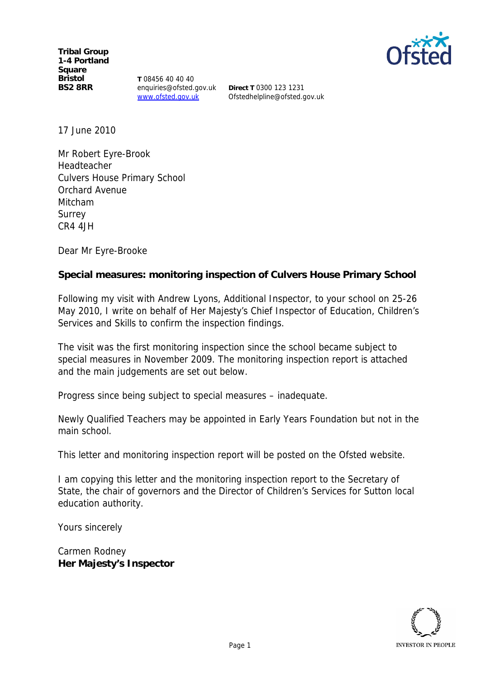**Tribal Group 1-4 Portland Square Bristol BS2 8RR**

**T** 08456 40 40 40 enquiries@ofsted.gov.uk www.ofsted.gov.uk

**Direct T** 0300 123 1231 Ofstedhelpline@ofsted.gov.uk

17 June 2010

Mr Robert Eyre-Brook Headteacher Culvers House Primary School Orchard Avenue Mitcham Surrey CR4 4JH

Dear Mr Eyre-Brooke

**Special measures: monitoring inspection of Culvers House Primary School**

Following my visit with Andrew Lyons, Additional Inspector, to your school on 25-26 May 2010, I write on behalf of Her Majesty's Chief Inspector of Education, Children's Services and Skills to confirm the inspection findings.

The visit was the first monitoring inspection since the school became subject to special measures in November 2009. The monitoring inspection report is attached and the main judgements are set out below.

Progress since being subject to special measures *–* inadequate.

Newly Qualified Teachers may be appointed in Early Years Foundation but not in the main school.

This letter and monitoring inspection report will be posted on the Ofsted website.

I am copying this letter and the monitoring inspection report to the Secretary of State, the chair of governors and the Director of Children's Services for Sutton local education authority.

Yours sincerely

Carmen Rodney **Her Majesty's Inspector**



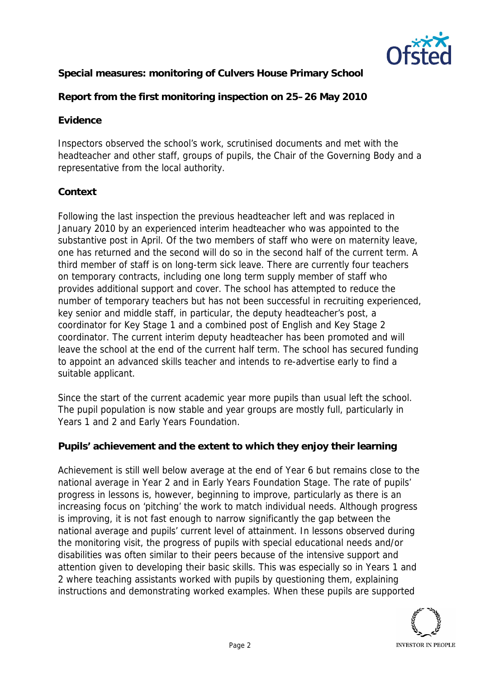

**Special measures: monitoring of Culvers House Primary School**

**Report from the first monitoring inspection on 25–26 May 2010**

## **Evidence**

Inspectors observed the school's work, scrutinised documents and met with the headteacher and other staff, groups of pupils, the Chair of the Governing Body and a representative from the local authority.

## **Context**

Following the last inspection the previous headteacher left and was replaced in January 2010 by an experienced interim headteacher who was appointed to the substantive post in April. Of the two members of staff who were on maternity leave, one has returned and the second will do so in the second half of the current term. A third member of staff is on long-term sick leave. There are currently four teachers on temporary contracts, including one long term supply member of staff who provides additional support and cover. The school has attempted to reduce the number of temporary teachers but has not been successful in recruiting experienced, key senior and middle staff, in particular, the deputy headteacher's post, a coordinator for Key Stage 1 and a combined post of English and Key Stage 2 coordinator. The current interim deputy headteacher has been promoted and will leave the school at the end of the current half term. The school has secured funding to appoint an advanced skills teacher and intends to re-advertise early to find a suitable applicant.

Since the start of the current academic year more pupils than usual left the school. The pupil population is now stable and year groups are mostly full, particularly in Years 1 and 2 and Early Years Foundation.

**Pupils' achievement and the extent to which they enjoy their learning**

Achievement is still well below average at the end of Year 6 but remains close to the national average in Year 2 and in Early Years Foundation Stage. The rate of pupils' progress in lessons is, however, beginning to improve, particularly as there is an increasing focus on 'pitching' the work to match individual needs. Although progress is improving, it is not fast enough to narrow significantly the gap between the national average and pupils' current level of attainment. In lessons observed during the monitoring visit, the progress of pupils with special educational needs and/or disabilities was often similar to their peers because of the intensive support and attention given to developing their basic skills. This was especially so in Years 1 and 2 where teaching assistants worked with pupils by questioning them, explaining instructions and demonstrating worked examples. When these pupils are supported

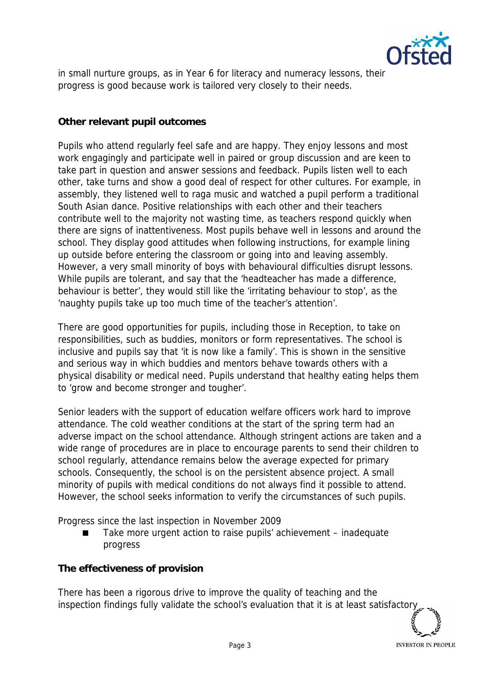

in small nurture groups, as in Year 6 for literacy and numeracy lessons, their progress is good because work is tailored very closely to their needs.

## **Other relevant pupil outcomes**

Pupils who attend regularly feel safe and are happy. They enjoy lessons and most work engagingly and participate well in paired or group discussion and are keen to take part in question and answer sessions and feedback. Pupils listen well to each other, take turns and show a good deal of respect for other cultures. For example, in assembly, they listened well to raga music and watched a pupil perform a traditional South Asian dance. Positive relationships with each other and their teachers contribute well to the majority not wasting time, as teachers respond quickly when there are signs of inattentiveness. Most pupils behave well in lessons and around the school. They display good attitudes when following instructions, for example lining up outside before entering the classroom or going into and leaving assembly. However, a very small minority of boys with behavioural difficulties disrupt lessons. While pupils are tolerant, and say that the 'headteacher has made a difference, behaviour is better', they would still like the 'irritating behaviour to stop', as the 'naughty pupils take up too much time of the teacher's attention'.

There are good opportunities for pupils, including those in Reception, to take on responsibilities, such as buddies, monitors or form representatives. The school is inclusive and pupils say that 'it is now like a family'. This is shown in the sensitive and serious way in which buddies and mentors behave towards others with a physical disability or medical need. Pupils understand that healthy eating helps them to 'grow and become stronger and tougher'.

Senior leaders with the support of education welfare officers work hard to improve attendance. The cold weather conditions at the start of the spring term had an adverse impact on the school attendance. Although stringent actions are taken and a wide range of procedures are in place to encourage parents to send their children to school regularly, attendance remains below the average expected for primary schools. Consequently, the school is on the persistent absence project. A small minority of pupils with medical conditions do not always find it possible to attend. However, the school seeks information to verify the circumstances of such pupils.

Progress since the last inspection in November 2009

 Take more urgent action to raise pupils' achievement – inadequate progress

**The effectiveness of provision**

There has been a rigorous drive to improve the quality of teaching and the inspection findings fully validate the school's evaluation that it is at least satisfactor

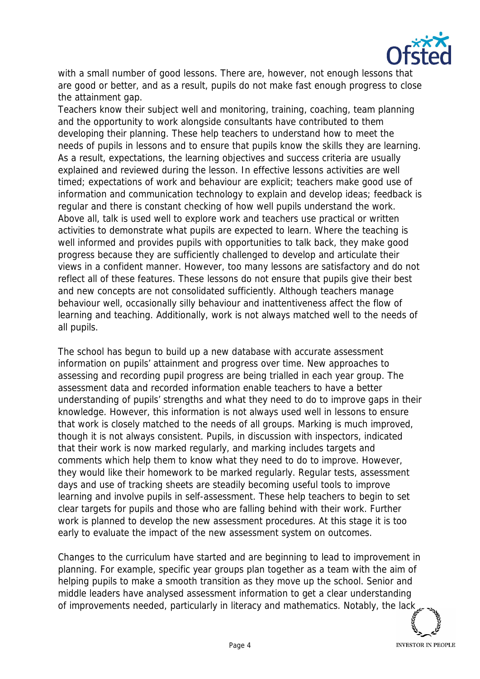

with a small number of good lessons. There are, however, not enough lessons that are good or better, and as a result, pupils do not make fast enough progress to close the attainment gap.

Teachers know their subject well and monitoring, training, coaching, team planning and the opportunity to work alongside consultants have contributed to them developing their planning. These help teachers to understand how to meet the needs of pupils in lessons and to ensure that pupils know the skills they are learning. As a result, expectations, the learning objectives and success criteria are usually explained and reviewed during the lesson. In effective lessons activities are well timed; expectations of work and behaviour are explicit; teachers make good use of information and communication technology to explain and develop ideas; feedback is regular and there is constant checking of how well pupils understand the work. Above all, talk is used well to explore work and teachers use practical or written activities to demonstrate what pupils are expected to learn. Where the teaching is well informed and provides pupils with opportunities to talk back, they make good progress because they are sufficiently challenged to develop and articulate their views in a confident manner. However, too many lessons are satisfactory and do not reflect all of these features. These lessons do not ensure that pupils give their best and new concepts are not consolidated sufficiently. Although teachers manage behaviour well, occasionally silly behaviour and inattentiveness affect the flow of learning and teaching. Additionally, work is not always matched well to the needs of all pupils.

The school has begun to build up a new database with accurate assessment information on pupils' attainment and progress over time. New approaches to assessing and recording pupil progress are being trialled in each year group. The assessment data and recorded information enable teachers to have a better understanding of pupils' strengths and what they need to do to improve gaps in their knowledge. However, this information is not always used well in lessons to ensure that work is closely matched to the needs of all groups. Marking is much improved, though it is not always consistent. Pupils, in discussion with inspectors, indicated that their work is now marked regularly, and marking includes targets and comments which help them to know what they need to do to improve. However, they would like their homework to be marked regularly. Regular tests, assessment days and use of tracking sheets are steadily becoming useful tools to improve learning and involve pupils in self-assessment. These help teachers to begin to set clear targets for pupils and those who are falling behind with their work. Further work is planned to develop the new assessment procedures. At this stage it is too early to evaluate the impact of the new assessment system on outcomes.

Changes to the curriculum have started and are beginning to lead to improvement in planning. For example, specific year groups plan together as a team with the aim of helping pupils to make a smooth transition as they move up the school. Senior and middle leaders have analysed assessment information to get a clear understanding of improvements needed, particularly in literacy and mathematics. Notably, the lack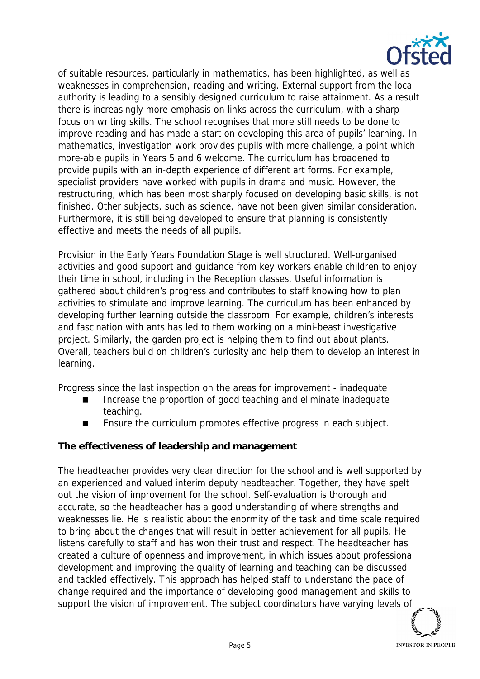

of suitable resources, particularly in mathematics, has been highlighted, as well as weaknesses in comprehension, reading and writing. External support from the local authority is leading to a sensibly designed curriculum to raise attainment. As a result there is increasingly more emphasis on links across the curriculum, with a sharp focus on writing skills. The school recognises that more still needs to be done to improve reading and has made a start on developing this area of pupils' learning. In mathematics, investigation work provides pupils with more challenge, a point which more-able pupils in Years 5 and 6 welcome. The curriculum has broadened to provide pupils with an in-depth experience of different art forms. For example, specialist providers have worked with pupils in drama and music. However, the restructuring, which has been most sharply focused on developing basic skills, is not finished. Other subjects, such as science, have not been given similar consideration. Furthermore, it is still being developed to ensure that planning is consistently effective and meets the needs of all pupils.

Provision in the Early Years Foundation Stage is well structured. Well-organised activities and good support and guidance from key workers enable children to enjoy their time in school, including in the Reception classes. Useful information is gathered about children's progress and contributes to staff knowing how to plan activities to stimulate and improve learning. The curriculum has been enhanced by developing further learning outside the classroom. For example, children's interests and fascination with ants has led to them working on a mini-beast investigative project. Similarly, the garden project is helping them to find out about plants. Overall, teachers build on children's curiosity and help them to develop an interest in learning.

Progress since the last inspection on the areas for improvement - inadequate

- Increase the proportion of good teaching and eliminate inadequate teaching.
- Ensure the curriculum promotes effective progress in each subject.

**The effectiveness of leadership and management**

The headteacher provides very clear direction for the school and is well supported by an experienced and valued interim deputy headteacher. Together, they have spelt out the vision of improvement for the school. Self-evaluation is thorough and accurate, so the headteacher has a good understanding of where strengths and weaknesses lie. He is realistic about the enormity of the task and time scale required to bring about the changes that will result in better achievement for all pupils. He listens carefully to staff and has won their trust and respect. The headteacher has created a culture of openness and improvement, in which issues about professional development and improving the quality of learning and teaching can be discussed and tackled effectively. This approach has helped staff to understand the pace of change required and the importance of developing good management and skills to support the vision of improvement. The subject coordinators have varying levels of

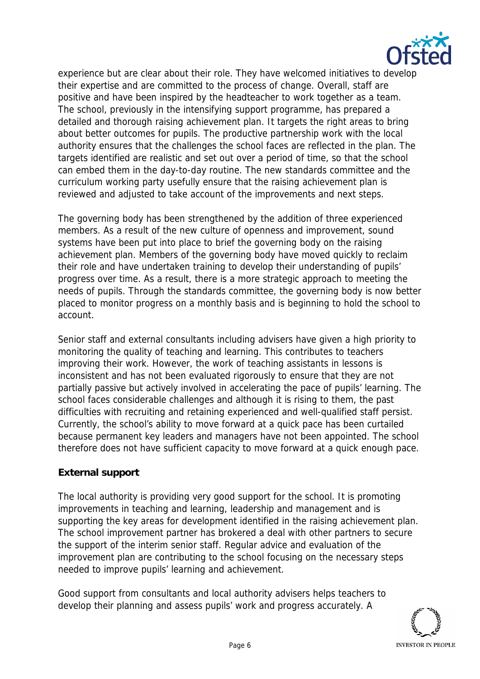

experience but are clear about their role. They have welcomed initiatives to develop their expertise and are committed to the process of change. Overall, staff are positive and have been inspired by the headteacher to work together as a team. The school, previously in the intensifying support programme, has prepared a detailed and thorough raising achievement plan. It targets the right areas to bring about better outcomes for pupils. The productive partnership work with the local authority ensures that the challenges the school faces are reflected in the plan. The targets identified are realistic and set out over a period of time, so that the school can embed them in the day-to-day routine. The new standards committee and the curriculum working party usefully ensure that the raising achievement plan is reviewed and adjusted to take account of the improvements and next steps.

The governing body has been strengthened by the addition of three experienced members. As a result of the new culture of openness and improvement, sound systems have been put into place to brief the governing body on the raising achievement plan. Members of the governing body have moved quickly to reclaim their role and have undertaken training to develop their understanding of pupils' progress over time. As a result, there is a more strategic approach to meeting the needs of pupils. Through the standards committee, the governing body is now better placed to monitor progress on a monthly basis and is beginning to hold the school to account.

Senior staff and external consultants including advisers have given a high priority to monitoring the quality of teaching and learning. This contributes to teachers improving their work. However, the work of teaching assistants in lessons is inconsistent and has not been evaluated rigorously to ensure that they are not partially passive but actively involved in accelerating the pace of pupils' learning. The school faces considerable challenges and although it is rising to them, the past difficulties with recruiting and retaining experienced and well-qualified staff persist. Currently, the school's ability to move forward at a quick pace has been curtailed because permanent key leaders and managers have not been appointed. The school therefore does not have sufficient capacity to move forward at a quick enough pace.

## **External support**

The local authority is providing very good support for the school. It is promoting improvements in teaching and learning, leadership and management and is supporting the key areas for development identified in the raising achievement plan. The school improvement partner has brokered a deal with other partners to secure the support of the interim senior staff. Regular advice and evaluation of the improvement plan are contributing to the school focusing on the necessary steps needed to improve pupils' learning and achievement.

Good support from consultants and local authority advisers helps teachers to develop their planning and assess pupils' work and progress accurately. A